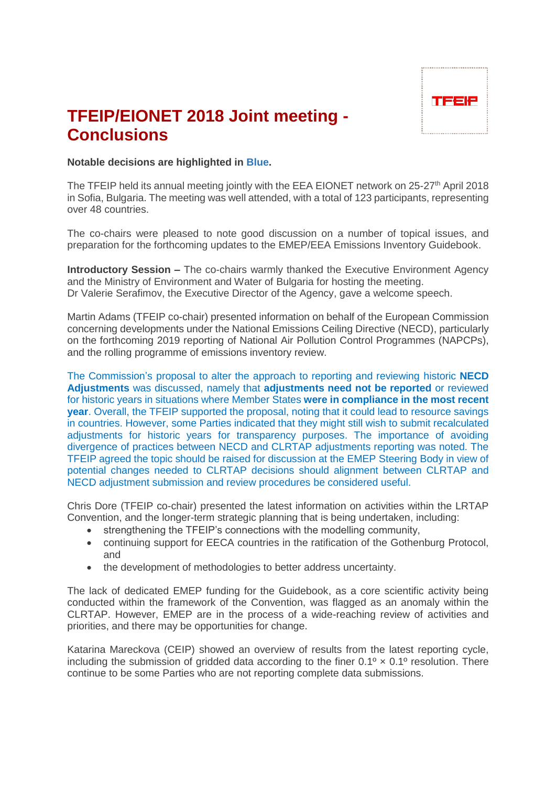

## **TFEIP/EIONET 2018 Joint meeting - Conclusions**

## **Notable decisions are highlighted in Blue.**

The TFEIP held its annual meeting jointly with the EEA EIONET network on 25-27<sup>th</sup> April 2018 in Sofia, Bulgaria. The meeting was well attended, with a total of 123 participants, representing over 48 countries.

The co-chairs were pleased to note good discussion on a number of topical issues, and preparation for the forthcoming updates to the EMEP/EEA Emissions Inventory Guidebook.

**Introductory Session –** The co-chairs warmly thanked the Executive Environment Agency and the Ministry of Environment and Water of Bulgaria for hosting the meeting. Dr Valerie Serafimov, the Executive Director of the Agency, gave a welcome speech.

Martin Adams (TFEIP co-chair) presented information on behalf of the European Commission concerning developments under the National Emissions Ceiling Directive (NECD), particularly on the forthcoming 2019 reporting of National Air Pollution Control Programmes (NAPCPs), and the rolling programme of emissions inventory review.

The Commission's proposal to alter the approach to reporting and reviewing historic **NECD Adjustments** was discussed, namely that **adjustments need not be reported** or reviewed for historic years in situations where Member States **were in compliance in the most recent year**. Overall, the TFEIP supported the proposal, noting that it could lead to resource savings in countries. However, some Parties indicated that they might still wish to submit recalculated adjustments for historic years for transparency purposes. The importance of avoiding divergence of practices between NECD and CLRTAP adjustments reporting was noted. The TFEIP agreed the topic should be raised for discussion at the EMEP Steering Body in view of potential changes needed to CLRTAP decisions should alignment between CLRTAP and NECD adjustment submission and review procedures be considered useful.

Chris Dore (TFEIP co-chair) presented the latest information on activities within the LRTAP Convention, and the longer-term strategic planning that is being undertaken, including:

- strengthening the TFEIP's connections with the modelling community,
- continuing support for EECA countries in the ratification of the Gothenburg Protocol, and
- the development of methodologies to better address uncertainty.

The lack of dedicated EMEP funding for the Guidebook, as a core scientific activity being conducted within the framework of the Convention, was flagged as an anomaly within the CLRTAP. However, EMEP are in the process of a wide-reaching review of activities and priorities, and there may be opportunities for change.

Katarina Mareckova (CEIP) showed an overview of results from the latest reporting cycle, including the submission of gridded data according to the finer  $0.1^\circ \times 0.1^\circ$  resolution. There continue to be some Parties who are not reporting complete data submissions.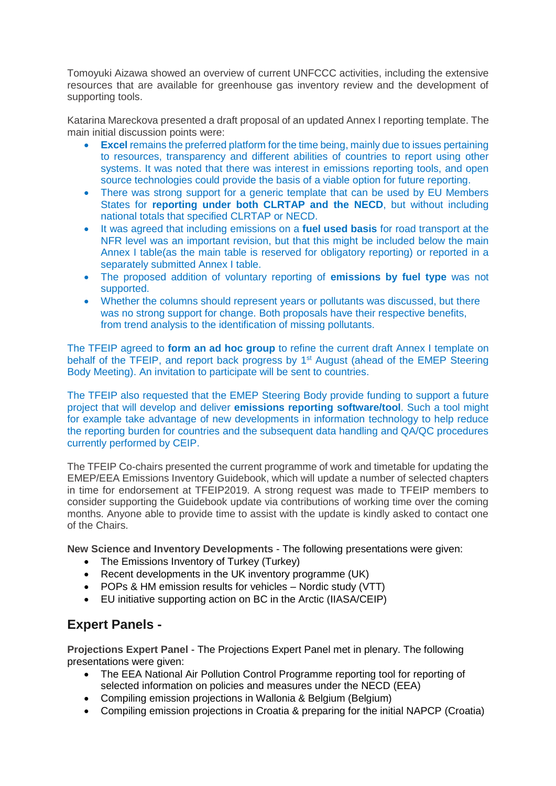Tomoyuki Aizawa showed an overview of current UNFCCC activities, including the extensive resources that are available for greenhouse gas inventory review and the development of supporting tools.

Katarina Mareckova presented a draft proposal of an updated Annex I reporting template. The main initial discussion points were:

- **Excel** remains the preferred platform for the time being, mainly due to issues pertaining to resources, transparency and different abilities of countries to report using other systems. It was noted that there was interest in emissions reporting tools, and open source technologies could provide the basis of a viable option for future reporting.
- There was strong support for a generic template that can be used by EU Members States for **reporting under both CLRTAP and the NECD**, but without including national totals that specified CLRTAP or NECD.
- It was agreed that including emissions on a **fuel used basis** for road transport at the NFR level was an important revision, but that this might be included below the main Annex I table(as the main table is reserved for obligatory reporting) or reported in a separately submitted Annex I table.
- The proposed addition of voluntary reporting of **emissions by fuel type** was not supported.
- Whether the columns should represent years or pollutants was discussed, but there was no strong support for change. Both proposals have their respective benefits, from trend analysis to the identification of missing pollutants.

The TFEIP agreed to **form an ad hoc group** to refine the current draft Annex I template on behalf of the TFEIP, and report back progress by 1<sup>st</sup> August (ahead of the EMEP Steering Body Meeting). An invitation to participate will be sent to countries.

The TFEIP also requested that the EMEP Steering Body provide funding to support a future project that will develop and deliver **emissions reporting software/tool**. Such a tool might for example take advantage of new developments in information technology to help reduce the reporting burden for countries and the subsequent data handling and QA/QC procedures currently performed by CEIP.

The TFEIP Co-chairs presented the current programme of work and timetable for updating the EMEP/EEA Emissions Inventory Guidebook, which will update a number of selected chapters in time for endorsement at TFEIP2019. A strong request was made to TFEIP members to consider supporting the Guidebook update via contributions of working time over the coming months. Anyone able to provide time to assist with the update is kindly asked to contact one of the Chairs.

**New Science and Inventory Developments** - The following presentations were given:

- The Emissions Inventory of Turkey (Turkey)
- Recent developments in the UK inventory programme (UK)
- POPs & HM emission results for vehicles Nordic study (VTT)
- EU initiative supporting action on BC in the Arctic (IIASA/CEIP)

## **Expert Panels -**

**Projections Expert Panel** - The Projections Expert Panel met in plenary. The following presentations were given:

- The EEA National Air Pollution Control Programme reporting tool for reporting of selected information on policies and measures under the NECD (EEA)
- Compiling emission projections in Wallonia & Belgium (Belgium)
- Compiling emission projections in Croatia & preparing for the initial NAPCP (Croatia)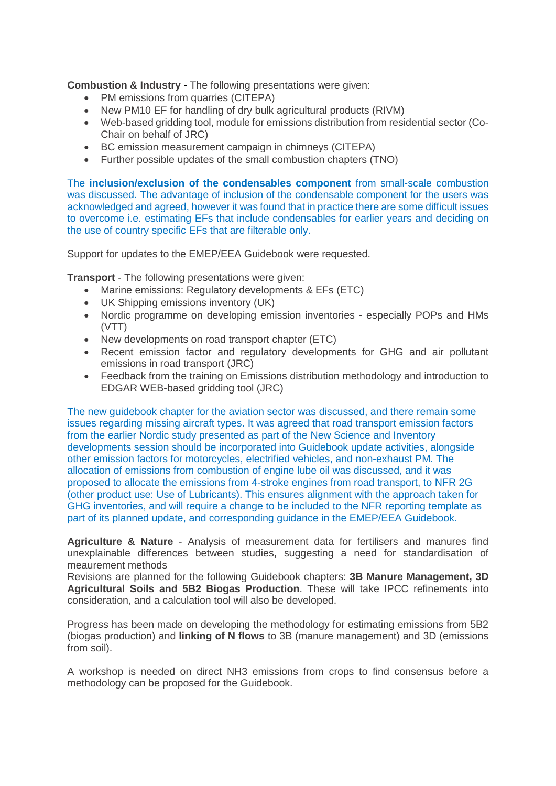**Combustion & Industry** - The following presentations were given:

- PM emissions from quarries (CITEPA)
- New PM10 EF for handling of dry bulk agricultural products (RIVM)
- Web-based gridding tool, module for emissions distribution from residential sector (Co-Chair on behalf of JRC)
- BC emission measurement campaign in chimneys (CITEPA)
- Further possible updates of the small combustion chapters (TNO)

The **inclusion/exclusion of the condensables component** from small-scale combustion was discussed. The advantage of inclusion of the condensable component for the users was acknowledged and agreed, however it was found that in practice there are some difficult issues to overcome i.e. estimating EFs that include condensables for earlier years and deciding on the use of country specific EFs that are filterable only.

Support for updates to the EMEP/EEA Guidebook were requested.

**Transport** - The following presentations were given:

- Marine emissions: Regulatory developments & EFs (ETC)
- UK Shipping emissions inventory (UK)
- Nordic programme on developing emission inventories especially POPs and HMs (VTT)
- New developments on road transport chapter (ETC)
- Recent emission factor and regulatory developments for GHG and air pollutant emissions in road transport (JRC)
- Feedback from the training on Emissions distribution methodology and introduction to EDGAR WEB-based gridding tool (JRC)

The new guidebook chapter for the aviation sector was discussed, and there remain some issues regarding missing aircraft types. It was agreed that road transport emission factors from the earlier Nordic study presented as part of the New Science and Inventory developments session should be incorporated into Guidebook update activities, alongside other emission factors for motorcycles, electrified vehicles, and non-exhaust PM. The allocation of emissions from combustion of engine lube oil was discussed, and it was proposed to allocate the emissions from 4-stroke engines from road transport, to NFR 2G (other product use: Use of Lubricants). This ensures alignment with the approach taken for GHG inventories, and will require a change to be included to the NFR reporting template as part of its planned update, and corresponding guidance in the EMEP/EEA Guidebook.

**Agriculture & Nature** - Analysis of measurement data for fertilisers and manures find unexplainable differences between studies, suggesting a need for standardisation of meaurement methods

Revisions are planned for the following Guidebook chapters: **3B Manure Management, 3D Agricultural Soils and 5B2 Biogas Production**. These will take IPCC refinements into consideration, and a calculation tool will also be developed.

Progress has been made on developing the methodology for estimating emissions from 5B2 (biogas production) and **linking of N flows** to 3B (manure management) and 3D (emissions from soil).

A workshop is needed on direct NH3 emissions from crops to find consensus before a methodology can be proposed for the Guidebook.